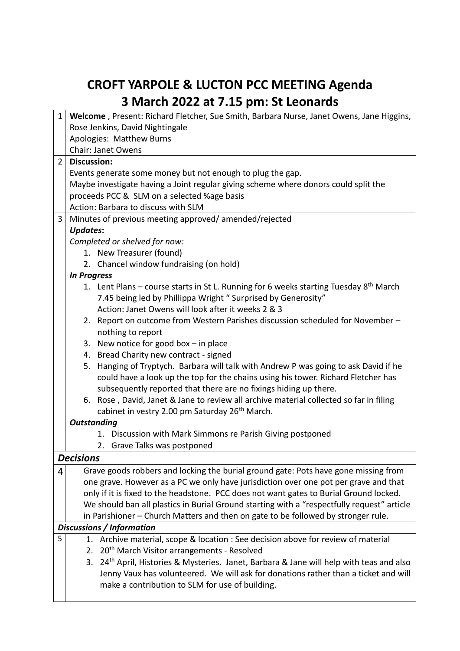## **CROFT YARPOLE & LUCTON PCC MEETING Agenda 3 March 2022 at 7.15 pm: St Leonards**

| $\mathbf{1}$   | Welcome, Present: Richard Fletcher, Sue Smith, Barbara Nurse, Janet Owens, Jane Higgins,             |  |  |  |  |
|----------------|------------------------------------------------------------------------------------------------------|--|--|--|--|
|                | Rose Jenkins, David Nightingale                                                                      |  |  |  |  |
|                | Apologies: Matthew Burns                                                                             |  |  |  |  |
|                | <b>Chair: Janet Owens</b>                                                                            |  |  |  |  |
| $\overline{2}$ | <b>Discussion:</b>                                                                                   |  |  |  |  |
|                | Events generate some money but not enough to plug the gap.                                           |  |  |  |  |
|                | Maybe investigate having a Joint regular giving scheme where donors could split the                  |  |  |  |  |
|                | proceeds PCC & SLM on a selected %age basis                                                          |  |  |  |  |
|                | Action: Barbara to discuss with SLM                                                                  |  |  |  |  |
| $\overline{3}$ | Minutes of previous meeting approved/amended/rejected                                                |  |  |  |  |
|                | <b>Updates:</b>                                                                                      |  |  |  |  |
|                | Completed or shelved for now:                                                                        |  |  |  |  |
|                | 1. New Treasurer (found)                                                                             |  |  |  |  |
|                | 2. Chancel window fundraising (on hold)                                                              |  |  |  |  |
|                | <b>In Progress</b>                                                                                   |  |  |  |  |
|                | 1. Lent Plans – course starts in St L. Running for 6 weeks starting Tuesday 8 <sup>th</sup> March    |  |  |  |  |
|                | 7.45 being led by Phillippa Wright "Surprised by Generosity"                                         |  |  |  |  |
|                | Action: Janet Owens will look after it weeks 2 & 3                                                   |  |  |  |  |
|                | 2. Report on outcome from Western Parishes discussion scheduled for November -                       |  |  |  |  |
|                | nothing to report                                                                                    |  |  |  |  |
|                | 3. New notice for good box $-$ in place                                                              |  |  |  |  |
|                | 4. Bread Charity new contract - signed                                                               |  |  |  |  |
|                | 5. Hanging of Tryptych. Barbara will talk with Andrew P was going to ask David if he                 |  |  |  |  |
|                | could have a look up the top for the chains using his tower. Richard Fletcher has                    |  |  |  |  |
|                | subsequently reported that there are no fixings hiding up there.                                     |  |  |  |  |
|                | 6. Rose, David, Janet & Jane to review all archive material collected so far in filing               |  |  |  |  |
|                | cabinet in vestry 2.00 pm Saturday 26 <sup>th</sup> March.                                           |  |  |  |  |
|                | <b>Outstanding</b>                                                                                   |  |  |  |  |
|                | 1. Discussion with Mark Simmons re Parish Giving postponed                                           |  |  |  |  |
|                | 2. Grave Talks was postponed                                                                         |  |  |  |  |
|                | <b>Decisions</b>                                                                                     |  |  |  |  |
| 4              | Grave goods robbers and locking the burial ground gate: Pots have gone missing from                  |  |  |  |  |
|                | one grave. However as a PC we only have jurisdiction over one pot per grave and that                 |  |  |  |  |
|                | only if it is fixed to the headstone. PCC does not want gates to Burial Ground locked.               |  |  |  |  |
|                | We should ban all plastics in Burial Ground starting with a "respectfully request" article           |  |  |  |  |
|                | in Parishioner - Church Matters and then on gate to be followed by stronger rule.                    |  |  |  |  |
|                | Discussions / Information                                                                            |  |  |  |  |
| 5              | 1. Archive material, scope & location : See decision above for review of material                    |  |  |  |  |
|                | 2. 20 <sup>th</sup> March Visitor arrangements - Resolved                                            |  |  |  |  |
|                | 3. 24 <sup>th</sup> April, Histories & Mysteries. Janet, Barbara & Jane will help with teas and also |  |  |  |  |
|                | Jenny Vaux has volunteered. We will ask for donations rather than a ticket and will                  |  |  |  |  |
|                | make a contribution to SLM for use of building.                                                      |  |  |  |  |
|                |                                                                                                      |  |  |  |  |